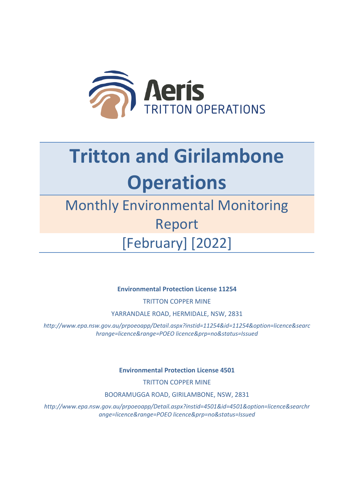

## **Tritton and Girilambone Operations**

## Monthly Environmental Monitoring Report [February] [2022]

**Environmental Protection License 11254**

TRITTON COPPER MINE

YARRANDALE ROAD, HERMIDALE, NSW, 2831

*http://www.epa.nsw.gov.au/prpoeoapp/Detail.aspx?instid=11254&id=11254&option=licence&searc hrange=licence&range=POEO licence&prp=no&status=Issued*

**Environmental Protection License 4501**

TRITTON COPPER MINE

BOORAMUGGA ROAD, GIRILAMBONE, NSW, 2831

*http://www.epa.nsw.gov.au/prpoeoapp/Detail.aspx?instid=4501&id=4501&option=licence&searchr ange=licence&range=POEO licence&prp=no&status=Issued*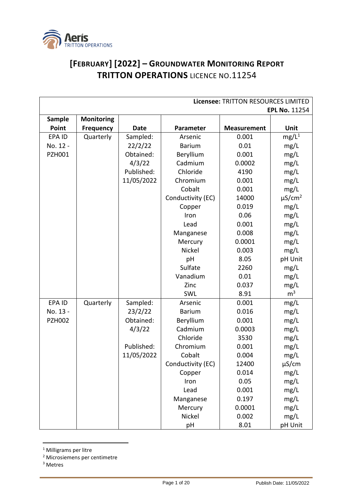

## **[FEBRUARY] [2022] – GROUNDWATER MONITORING REPORT TRITTON OPERATIONS** LICENCE NO.11254

| Licensee: TRITTON RESOURCES LIMITED |                   |             |                      |                    |                         |  |
|-------------------------------------|-------------------|-------------|----------------------|--------------------|-------------------------|--|
|                                     |                   |             | <b>EPL No. 11254</b> |                    |                         |  |
| <b>Sample</b>                       | <b>Monitoring</b> |             |                      |                    |                         |  |
| Point                               | <b>Frequency</b>  | <b>Date</b> | Parameter            | <b>Measurement</b> | Unit                    |  |
| EPA ID                              | Quarterly         | Sampled:    | Arsenic              | 0.001              | $mg/L^1$                |  |
| No. 12 -                            |                   | 22/2/22     | <b>Barium</b>        | 0.01               | mg/L                    |  |
| <b>PZH001</b>                       |                   | Obtained:   | Beryllium            | 0.001              | mg/L                    |  |
|                                     |                   | 4/3/22      | Cadmium              | 0.0002             | mg/L                    |  |
|                                     |                   | Published:  | Chloride             | 4190               | mg/L                    |  |
|                                     |                   | 11/05/2022  | Chromium             | 0.001              | mg/L                    |  |
|                                     |                   |             | Cobalt               | 0.001              | mg/L                    |  |
|                                     |                   |             | Conductivity (EC)    | 14000              | $\mu$ S/cm <sup>2</sup> |  |
|                                     |                   |             | Copper               | 0.019              | mg/L                    |  |
|                                     |                   |             | Iron                 | 0.06               | mg/L                    |  |
|                                     |                   |             | Lead                 | 0.001              | mg/L                    |  |
|                                     |                   |             | Manganese            | 0.008              | mg/L                    |  |
|                                     |                   |             | Mercury              | 0.0001             | mg/L                    |  |
|                                     |                   |             | Nickel               | 0.003              | mg/L                    |  |
|                                     |                   |             | pH                   | 8.05               | pH Unit                 |  |
|                                     |                   |             | Sulfate              | 2260               | mg/L                    |  |
|                                     |                   |             | Vanadium             | 0.01               | mg/L                    |  |
|                                     |                   |             | Zinc                 | 0.037              | mg/L                    |  |
|                                     |                   |             | SWL                  | 8.91               | m <sup>3</sup>          |  |
| EPA ID                              | Quarterly         | Sampled:    | Arsenic              | 0.001              | mg/L                    |  |
| No. 13 -                            |                   | 23/2/22     | <b>Barium</b>        | 0.016              | mg/L                    |  |
| <b>PZH002</b>                       |                   | Obtained:   | Beryllium            | 0.001              | mg/L                    |  |
|                                     |                   | 4/3/22      | Cadmium              | 0.0003             | mg/L                    |  |
|                                     |                   |             | Chloride             | 3530               | mg/L                    |  |
|                                     |                   | Published:  | Chromium             | 0.001              | mg/L                    |  |
|                                     |                   | 11/05/2022  | Cobalt               | 0.004              | mg/L                    |  |
|                                     |                   |             | Conductivity (EC)    | 12400              | µS/cm                   |  |
|                                     |                   |             | Copper               | 0.014              | mg/L                    |  |
|                                     |                   |             | Iron                 | 0.05               | mg/L                    |  |
|                                     |                   |             | Lead                 | 0.001              | mg/L                    |  |
|                                     |                   |             | Manganese            | 0.197              | mg/L                    |  |
|                                     |                   |             | Mercury              | 0.0001             | mg/L                    |  |
|                                     |                   |             | Nickel               | 0.002              | mg/L                    |  |
|                                     |                   |             | pH                   | 8.01               | pH Unit                 |  |

<sup>1</sup> Milligrams per litre

<sup>2</sup> Microsiemens per centimetre

<sup>3</sup> Metres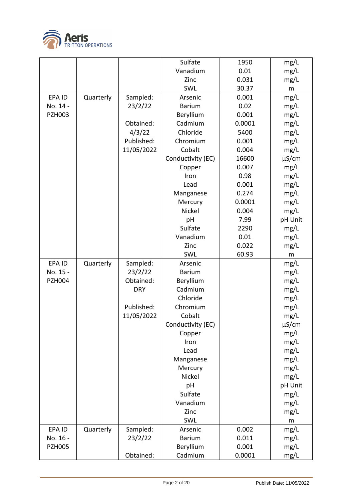

|                           |           |            | Sulfate                    | 1950           | mg/L         |
|---------------------------|-----------|------------|----------------------------|----------------|--------------|
|                           |           |            | Vanadium                   | 0.01           | mg/L         |
|                           |           |            | Zinc                       | 0.031          | mg/L         |
|                           |           |            | SWL                        | 30.37          | m            |
| EPA ID                    | Quarterly | Sampled:   | Arsenic                    | 0.001          | mg/L         |
| No. 14 -                  |           | 23/2/22    | <b>Barium</b>              | 0.02           | mg/L         |
| <b>PZH003</b>             |           |            | Beryllium                  | 0.001          | mg/L         |
|                           |           | Obtained:  | Cadmium                    | 0.0001         | mg/L         |
|                           |           | 4/3/22     | Chloride                   | 5400           | mg/L         |
|                           |           | Published: | Chromium                   | 0.001          | mg/L         |
|                           |           | 11/05/2022 | Cobalt                     | 0.004          | mg/L         |
|                           |           |            | Conductivity (EC)          | 16600          | $\mu$ S/cm   |
|                           |           |            | Copper                     | 0.007          | mg/L         |
|                           |           |            | Iron                       | 0.98           | mg/L         |
|                           |           |            | Lead                       | 0.001          | mg/L         |
|                           |           |            | Manganese                  | 0.274          | mg/L         |
|                           |           |            | Mercury                    | 0.0001         | mg/L         |
|                           |           |            | Nickel                     | 0.004          | mg/L         |
|                           |           |            | pH                         | 7.99           | pH Unit      |
|                           |           |            | Sulfate                    | 2290           | mg/L         |
|                           |           |            | Vanadium                   | 0.01           | mg/L         |
|                           |           |            | Zinc                       | 0.022          | mg/L         |
|                           |           |            | SWL                        | 60.93          | m            |
| EPA ID                    | Quarterly | Sampled:   | Arsenic                    |                | mg/L         |
| No. 15 -                  |           | 23/2/22    | <b>Barium</b>              |                | mg/L         |
| <b>PZH004</b>             |           | Obtained:  | Beryllium                  |                | mg/L         |
|                           |           | <b>DRY</b> | Cadmium                    |                | mg/L         |
|                           |           |            | Chloride                   |                |              |
|                           |           |            |                            |                |              |
|                           |           |            |                            |                | mg/L         |
|                           |           | Published: | Chromium                   |                | mg/L         |
|                           |           | 11/05/2022 | Cobalt                     |                | mg/L         |
|                           |           |            | Conductivity (EC)          |                | $\mu$ S/cm   |
|                           |           |            | Copper                     |                | mg/L         |
|                           |           |            | Iron                       |                | mg/L         |
|                           |           |            | Lead                       |                | mg/L         |
|                           |           |            | Manganese                  |                | mg/L         |
|                           |           |            | Mercury                    |                | mg/L         |
|                           |           |            | Nickel                     |                | mg/L         |
|                           |           |            | pH                         |                | pH Unit      |
|                           |           |            | Sulfate                    |                | mg/L         |
|                           |           |            | Vanadium                   |                | mg/L         |
|                           |           |            | Zinc                       |                | mg/L         |
|                           |           |            | SWL                        |                | m            |
| EPA ID                    | Quarterly | Sampled:   | Arsenic                    | 0.002          | mg/L         |
| No. 16 -<br><b>PZH005</b> |           | 23/2/22    | <b>Barium</b><br>Beryllium | 0.011<br>0.001 | mg/L<br>mg/L |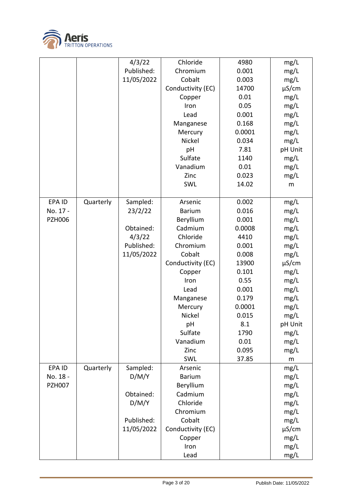

|               |           | 4/3/22     | Chloride          | 4980   | mg/L       |
|---------------|-----------|------------|-------------------|--------|------------|
|               |           | Published: | Chromium          | 0.001  | mg/L       |
|               |           | 11/05/2022 | Cobalt            | 0.003  | mg/L       |
|               |           |            | Conductivity (EC) | 14700  | $\mu$ S/cm |
|               |           |            | Copper            | 0.01   | mg/L       |
|               |           |            | Iron              | 0.05   | mg/L       |
|               |           |            | Lead              | 0.001  | mg/L       |
|               |           |            | Manganese         | 0.168  | mg/L       |
|               |           |            | Mercury           | 0.0001 | mg/L       |
|               |           |            | Nickel            | 0.034  | mg/L       |
|               |           |            | pH                | 7.81   | pH Unit    |
|               |           |            | Sulfate           | 1140   | mg/L       |
|               |           |            | Vanadium          | 0.01   | mg/L       |
|               |           |            | Zinc              | 0.023  | mg/L       |
|               |           |            | SWL               | 14.02  | m          |
|               |           |            |                   |        |            |
| EPA ID        | Quarterly | Sampled:   | Arsenic           | 0.002  | mg/L       |
| No. 17 -      |           | 23/2/22    | <b>Barium</b>     | 0.016  | mg/L       |
| <b>PZH006</b> |           |            | Beryllium         | 0.001  | mg/L       |
|               |           | Obtained:  | Cadmium           | 0.0008 | mg/L       |
|               |           | 4/3/22     | Chloride          | 4410   | mg/L       |
|               |           | Published: | Chromium          | 0.001  | mg/L       |
|               |           | 11/05/2022 | Cobalt            | 0.008  | mg/L       |
|               |           |            | Conductivity (EC) | 13900  | $\mu$ S/cm |
|               |           |            | Copper            | 0.101  | mg/L       |
|               |           |            | Iron              | 0.55   | mg/L       |
|               |           |            | Lead              | 0.001  | mg/L       |
|               |           |            | Manganese         | 0.179  | mg/L       |
|               |           |            | Mercury           | 0.0001 | mg/L       |
|               |           |            | Nickel            | 0.015  | mg/L       |
|               |           |            | pH                | 8.1    | pH Unit    |
|               |           |            | Sulfate           | 1790   | mg/L       |
|               |           |            | Vanadium          | 0.01   | mg/L       |
|               |           |            | Zinc              | 0.095  | mg/L       |
|               |           |            | SWL               | 37.85  | m          |
| EPA ID        | Quarterly | Sampled:   | Arsenic           |        | mg/L       |
| No. 18 -      |           | D/M/Y      | <b>Barium</b>     |        | mg/L       |
| <b>PZH007</b> |           |            | Beryllium         |        | mg/L       |
|               |           | Obtained:  | Cadmium           |        | mg/L       |
|               |           | D/M/Y      | Chloride          |        | mg/L       |
|               |           |            | Chromium          |        | mg/L       |
|               |           | Published: | Cobalt            |        | mg/L       |
|               |           | 11/05/2022 | Conductivity (EC) |        | $\mu$ S/cm |
|               |           |            | Copper            |        | mg/L       |
|               |           |            | Iron              |        | mg/L       |
|               |           |            | Lead              |        | mg/L       |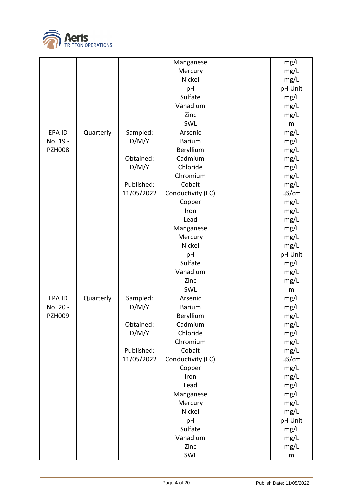

|               |           |            | Manganese         | mg/L       |
|---------------|-----------|------------|-------------------|------------|
|               |           |            | Mercury           | mg/L       |
|               |           |            | Nickel            | mg/L       |
|               |           |            | pH                | pH Unit    |
|               |           |            | Sulfate           | mg/L       |
|               |           |            | Vanadium          | mg/L       |
|               |           |            | Zinc              | mg/L       |
|               |           |            | SWL               | ${\sf m}$  |
| EPA ID        | Quarterly | Sampled:   | Arsenic           | mg/L       |
| No. 19 -      |           | D/M/Y      | <b>Barium</b>     | mg/L       |
| <b>PZH008</b> |           |            | Beryllium         | mg/L       |
|               |           | Obtained:  | Cadmium           | mg/L       |
|               |           | D/M/Y      | Chloride          | mg/L       |
|               |           |            | Chromium          | mg/L       |
|               |           | Published: | Cobalt            | mg/L       |
|               |           | 11/05/2022 | Conductivity (EC) | $\mu$ S/cm |
|               |           |            | Copper            | mg/L       |
|               |           |            | Iron              | mg/L       |
|               |           |            | Lead              | mg/L       |
|               |           |            | Manganese         | mg/L       |
|               |           |            | Mercury           | mg/L       |
|               |           |            | Nickel            | mg/L       |
|               |           |            | pH                | pH Unit    |
|               |           |            | Sulfate           | mg/L       |
|               |           |            | Vanadium          | mg/L       |
|               |           |            | Zinc              | mg/L       |
|               |           |            | SWL               | m          |
| EPA ID        | Quarterly | Sampled:   | Arsenic           | mg/L       |
| No. 20 -      |           | D/M/Y      | <b>Barium</b>     | mg/L       |
| <b>PZH009</b> |           |            | Beryllium         | mg/L       |
|               |           | Obtained:  | Cadmium           | mg/L       |
|               |           | D/M/Y      | Chloride          | mg/L       |
|               |           |            | Chromium          | mg/L       |
|               |           | Published: | Cobalt            | mg/L       |
|               |           | 11/05/2022 | Conductivity (EC) | $\mu$ S/cm |
|               |           |            | Copper            | mg/L       |
|               |           |            | Iron              | mg/L       |
|               |           |            | Lead              | mg/L       |
|               |           |            | Manganese         | mg/L       |
|               |           |            | Mercury           | mg/L       |
|               |           |            | Nickel            | mg/L       |
|               |           |            | pH                | pH Unit    |
|               |           |            | Sulfate           | mg/L       |
|               |           |            | Vanadium          | mg/L       |
|               |           |            | Zinc              | mg/L       |
|               |           |            | SWL               | ${\sf m}$  |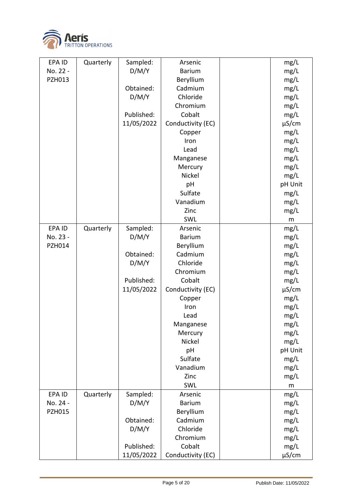

| EPA ID        | Quarterly | Sampled:   | Arsenic           | mg/L       |
|---------------|-----------|------------|-------------------|------------|
| No. 22 -      |           | D/M/Y      | <b>Barium</b>     | mg/L       |
| <b>PZH013</b> |           |            | Beryllium         | mg/L       |
|               |           | Obtained:  | Cadmium           | mg/L       |
|               |           | D/M/Y      | Chloride          | mg/L       |
|               |           |            | Chromium          | mg/L       |
|               |           | Published: | Cobalt            | mg/L       |
|               |           | 11/05/2022 | Conductivity (EC) | $\mu$ S/cm |
|               |           |            | Copper            | mg/L       |
|               |           |            | Iron              | mg/L       |
|               |           |            | Lead              | mg/L       |
|               |           |            | Manganese         | mg/L       |
|               |           |            | Mercury           | mg/L       |
|               |           |            | Nickel            | mg/L       |
|               |           |            | pH                | pH Unit    |
|               |           |            | Sulfate           | mg/L       |
|               |           |            | Vanadium          | mg/L       |
|               |           |            | Zinc              | mg/L       |
|               |           |            | SWL               | m          |
| <b>EPAID</b>  | Quarterly | Sampled:   | Arsenic           | mg/L       |
| No. 23 -      |           | D/M/Y      | <b>Barium</b>     | mg/L       |
| PZH014        |           |            | Beryllium         | mg/L       |
|               |           | Obtained:  | Cadmium           | mg/L       |
|               |           | D/M/Y      | Chloride          | mg/L       |
|               |           |            | Chromium          | mg/L       |
|               |           | Published: | Cobalt            | mg/L       |
|               |           | 11/05/2022 | Conductivity (EC) | $\mu$ S/cm |
|               |           |            | Copper            | mg/L       |
|               |           |            | Iron              | mg/L       |
|               |           |            | Lead              | mg/L       |
|               |           |            | Manganese         | mg/L       |
|               |           |            | Mercury           | mg/L       |
|               |           |            | Nickel            | mg/L       |
|               |           |            | pH                | pH Unit    |
|               |           |            | Sulfate           | mg/L       |
|               |           |            | Vanadium          | mg/L       |
|               |           |            | Zinc              |            |
|               |           |            | SWL               | mg/L       |
| EPA ID        | Quarterly | Sampled:   | Arsenic           | m<br>mg/L  |
| No. 24 -      |           | D/M/Y      | <b>Barium</b>     | mg/L       |
| <b>PZH015</b> |           |            | Beryllium         | mg/L       |
|               |           | Obtained:  | Cadmium           |            |
|               |           |            | Chloride          | mg/L       |
|               |           | D/M/Y      |                   | mg/L       |
|               |           |            | Chromium          | mg/L       |
|               |           | Published: | Cobalt            | mg/L       |
|               |           | 11/05/2022 | Conductivity (EC) | $\mu$ S/cm |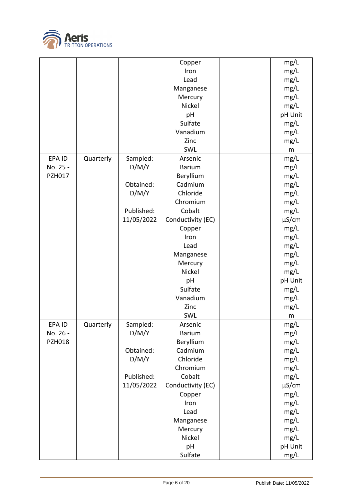

|               |           |            | Copper            | mg/L       |
|---------------|-----------|------------|-------------------|------------|
|               |           |            | Iron              | mg/L       |
|               |           |            | Lead              | mg/L       |
|               |           |            | Manganese         | mg/L       |
|               |           |            | Mercury           | mg/L       |
|               |           |            | Nickel            | mg/L       |
|               |           |            | pH                | pH Unit    |
|               |           |            | Sulfate           | mg/L       |
|               |           |            | Vanadium          |            |
|               |           |            |                   | mg/L       |
|               |           |            | Zinc              | mg/L       |
|               |           |            | SWL               | m          |
| EPA ID        | Quarterly | Sampled:   | Arsenic           | mg/L       |
| No. 25 -      |           | D/M/Y      | <b>Barium</b>     | mg/L       |
| PZH017        |           |            | Beryllium         | mg/L       |
|               |           | Obtained:  | Cadmium           | mg/L       |
|               |           | D/M/Y      | Chloride          | mg/L       |
|               |           |            | Chromium          | mg/L       |
|               |           | Published: | Cobalt            | mg/L       |
|               |           | 11/05/2022 | Conductivity (EC) | µS/cm      |
|               |           |            | Copper            | mg/L       |
|               |           |            | Iron              | mg/L       |
|               |           |            | Lead              | mg/L       |
|               |           |            | Manganese         | mg/L       |
|               |           |            | Mercury           | mg/L       |
|               |           |            | Nickel            | mg/L       |
|               |           |            | pH                | pH Unit    |
|               |           |            | Sulfate           | mg/L       |
|               |           |            | Vanadium          | mg/L       |
|               |           |            | Zinc              | mg/L       |
|               |           |            | SWL               | m          |
| EPA ID        | Quarterly | Sampled:   | Arsenic           | mg/L       |
| No. 26 -      |           | D/M/Y      | <b>Barium</b>     | mg/L       |
| <b>PZH018</b> |           |            | Beryllium         | mg/L       |
|               |           | Obtained:  | Cadmium           | mg/L       |
|               |           | D/M/Y      | Chloride          | mg/L       |
|               |           |            | Chromium          | mg/L       |
|               |           | Published: | Cobalt            | mg/L       |
|               |           | 11/05/2022 | Conductivity (EC) |            |
|               |           |            |                   | $\mu$ S/cm |
|               |           |            | Copper            | mg/L       |
|               |           |            | Iron              | mg/L       |
|               |           |            | Lead              | mg/L       |
|               |           |            | Manganese         | mg/L       |
|               |           |            | Mercury           | mg/L       |
|               |           |            | Nickel            | mg/L       |
|               |           |            | pH                | pH Unit    |
|               |           |            | Sulfate           | mg/L       |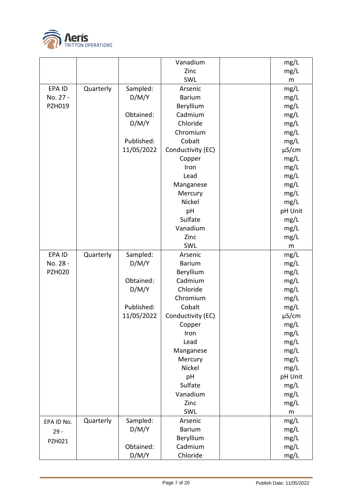

|               |           |            | Vanadium          | mg/L       |
|---------------|-----------|------------|-------------------|------------|
|               |           |            | Zinc              | mg/L       |
|               |           |            | SWL               | m          |
| EPA ID        | Quarterly | Sampled:   | Arsenic           | mg/L       |
| No. 27 -      |           | D/M/Y      | <b>Barium</b>     | mg/L       |
| PZH019        |           |            | Beryllium         | mg/L       |
|               |           | Obtained:  | Cadmium           | mg/L       |
|               |           | D/M/Y      | Chloride          | mg/L       |
|               |           |            | Chromium          | mg/L       |
|               |           | Published: | Cobalt            | mg/L       |
|               |           | 11/05/2022 | Conductivity (EC) | $\mu$ S/cm |
|               |           |            | Copper            | mg/L       |
|               |           |            | Iron              | mg/L       |
|               |           |            | Lead              | mg/L       |
|               |           |            | Manganese         | mg/L       |
|               |           |            | Mercury           | mg/L       |
|               |           |            | Nickel            | mg/L       |
|               |           |            | pH                | pH Unit    |
|               |           |            | Sulfate           | mg/L       |
|               |           |            | Vanadium          | mg/L       |
|               |           |            | Zinc              | mg/L       |
|               |           |            | SWL               | m          |
| <b>EPAID</b>  | Quarterly | Sampled:   | Arsenic           | mg/L       |
| No. 28 -      |           | D/M/Y      | <b>Barium</b>     | mg/L       |
| <b>PZH020</b> |           |            | Beryllium         | mg/L       |
|               |           | Obtained:  | Cadmium           | mg/L       |
|               |           | D/M/Y      | Chloride          | mg/L       |
|               |           |            | Chromium          | mg/L       |
|               |           | Published: | Cobalt            | mg/L       |
|               |           | 11/05/2022 | Conductivity (EC) | $\mu$ S/cm |
|               |           |            | Copper            | mg/L       |
|               |           |            | Iron              | mg/L       |
|               |           |            | Lead              | mg/L       |
|               |           |            | Manganese         | mg/L       |
|               |           |            | Mercury           | mg/L       |
|               |           |            | Nickel            | mg/L       |
|               |           |            | pH                | pH Unit    |
|               |           |            | Sulfate           | mg/L       |
|               |           |            | Vanadium          | mg/L       |
|               |           |            | Zinc              | mg/L       |
|               |           |            | SWL               | m          |
| EPA ID No.    | Quarterly | Sampled:   | Arsenic           | mg/L       |
| $29 -$        |           | D/M/Y      | <b>Barium</b>     | mg/L       |
| PZH021        |           |            | Beryllium         | mg/L       |
|               |           | Obtained:  | Cadmium           | mg/L       |
|               |           | D/M/Y      | Chloride          | mg/L       |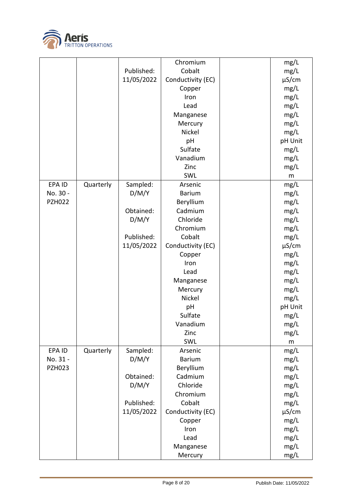

|               |           |                   | Chromium             | mg/L       |
|---------------|-----------|-------------------|----------------------|------------|
|               |           | Published:        | Cobalt               | mg/L       |
|               |           | 11/05/2022        | Conductivity (EC)    | $\mu$ S/cm |
|               |           |                   | Copper               | mg/L       |
|               |           |                   | Iron                 | mg/L       |
|               |           |                   | Lead                 | mg/L       |
|               |           |                   | Manganese            | mg/L       |
|               |           |                   | Mercury              | mg/L       |
|               |           |                   | Nickel               | mg/L       |
|               |           |                   | pH                   | pH Unit    |
|               |           |                   | Sulfate              | mg/L       |
|               |           |                   | Vanadium             | mg/L       |
|               |           |                   | Zinc                 |            |
|               |           |                   | SWL                  | mg/L       |
| <b>EPAID</b>  | Quarterly |                   | Arsenic              | ${\sf m}$  |
| No. 30 -      |           | Sampled:<br>D/M/Y | <b>Barium</b>        | mg/L       |
| <b>PZH022</b> |           |                   |                      | mg/L       |
|               |           |                   | Beryllium<br>Cadmium | mg/L       |
|               |           | Obtained:         |                      | mg/L       |
|               |           | D/M/Y             | Chloride             | mg/L       |
|               |           |                   | Chromium             | mg/L       |
|               |           | Published:        | Cobalt               | mg/L       |
|               |           | 11/05/2022        | Conductivity (EC)    | $\mu$ S/cm |
|               |           |                   | Copper               | mg/L       |
|               |           |                   | Iron                 | mg/L       |
|               |           |                   | Lead                 | mg/L       |
|               |           |                   | Manganese            | mg/L       |
|               |           |                   | Mercury              | mg/L       |
|               |           |                   | Nickel               | mg/L       |
|               |           |                   | pH                   | pH Unit    |
|               |           |                   | Sulfate              | mg/L       |
|               |           |                   | Vanadium             | mg/L       |
|               |           |                   | Zinc                 | mg/L       |
|               |           |                   | SWL                  | m          |
| EPA ID        | Quarterly | Sampled:          | Arsenic              | mg/L       |
| No. 31 -      |           | D/M/Y             | <b>Barium</b>        | mg/L       |
| <b>PZH023</b> |           |                   | Beryllium            | mg/L       |
|               |           | Obtained:         | Cadmium              | mg/L       |
|               |           | D/M/Y             | Chloride             | mg/L       |
|               |           |                   | Chromium             | mg/L       |
|               |           | Published:        | Cobalt               | mg/L       |
|               |           | 11/05/2022        | Conductivity (EC)    | $\mu$ S/cm |
|               |           |                   | Copper               | mg/L       |
|               |           |                   | Iron                 | mg/L       |
|               |           |                   | Lead                 | mg/L       |
|               |           |                   | Manganese            | mg/L       |
|               |           |                   | Mercury              | mg/L       |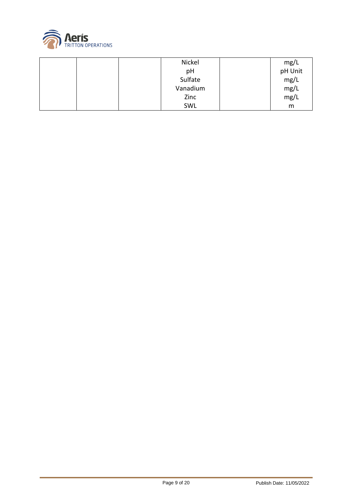

|  | Nickel   | mg/L    |
|--|----------|---------|
|  | pH       | pH Unit |
|  | Sulfate  | mg/L    |
|  | Vanadium | mg/L    |
|  | Zinc     | mg/L    |
|  | SWL      | m       |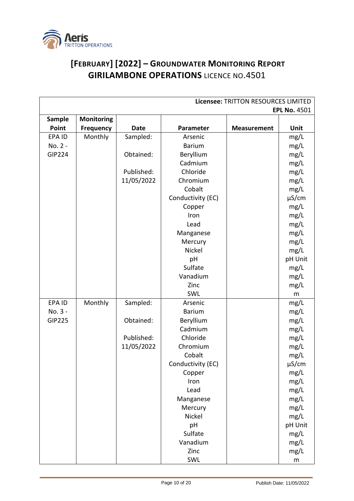

## **[FEBRUARY] [2022] – GROUNDWATER MONITORING REPORT GIRILAMBONE OPERATIONS** LICENCE NO.4501

| Licensee: TRITTON RESOURCES LIMITED |                   |             |                   |                    |                     |  |
|-------------------------------------|-------------------|-------------|-------------------|--------------------|---------------------|--|
|                                     |                   |             |                   |                    | <b>EPL No. 4501</b> |  |
| Sample                              | <b>Monitoring</b> |             |                   |                    |                     |  |
| Point                               | <b>Frequency</b>  | <b>Date</b> | Parameter         | <b>Measurement</b> | Unit                |  |
| EPA ID                              | Monthly           | Sampled:    | Arsenic           |                    | mg/L                |  |
| No. 2 -                             |                   |             | <b>Barium</b>     |                    | mg/L                |  |
| <b>GIP224</b>                       |                   | Obtained:   | Beryllium         |                    | mg/L                |  |
|                                     |                   |             | Cadmium           |                    | mg/L                |  |
|                                     |                   | Published:  | Chloride          |                    | mg/L                |  |
|                                     |                   | 11/05/2022  | Chromium          |                    | mg/L                |  |
|                                     |                   |             | Cobalt            |                    | mg/L                |  |
|                                     |                   |             | Conductivity (EC) |                    | $\mu$ S/cm          |  |
|                                     |                   |             | Copper            |                    | mg/L                |  |
|                                     |                   |             | Iron              |                    | mg/L                |  |
|                                     |                   |             | Lead              |                    | mg/L                |  |
|                                     |                   |             | Manganese         |                    | mg/L                |  |
|                                     |                   |             | Mercury           |                    | mg/L                |  |
|                                     |                   |             | <b>Nickel</b>     |                    | mg/L                |  |
|                                     |                   |             | pH                |                    | pH Unit             |  |
|                                     |                   |             | Sulfate           |                    | mg/L                |  |
|                                     |                   |             | Vanadium          |                    | mg/L                |  |
|                                     |                   |             | Zinc              |                    | mg/L                |  |
|                                     |                   |             | SWL               |                    | m                   |  |
| EPA ID                              | Monthly           | Sampled:    | Arsenic           |                    | mg/L                |  |
| No. 3 -                             |                   |             | <b>Barium</b>     |                    | mg/L                |  |
| <b>GIP225</b>                       |                   | Obtained:   | Beryllium         |                    | mg/L                |  |
|                                     |                   |             | Cadmium           |                    | mg/L                |  |
|                                     |                   | Published:  | Chloride          |                    | mg/L                |  |
|                                     |                   | 11/05/2022  | Chromium          |                    | mg/L                |  |
|                                     |                   |             | Cobalt            |                    | mg/L                |  |
|                                     |                   |             | Conductivity (EC) |                    | $\mu$ S/cm          |  |
|                                     |                   |             | Copper            |                    | mg/L                |  |
|                                     |                   |             | Iron              |                    | mg/L                |  |
|                                     |                   |             | Lead              |                    | mg/L                |  |
|                                     |                   |             | Manganese         |                    | mg/L                |  |
|                                     |                   |             | Mercury           |                    | mg/L                |  |
|                                     |                   |             | Nickel            |                    | mg/L                |  |
|                                     |                   |             | pH                |                    | pH Unit             |  |
|                                     |                   |             | Sulfate           |                    | mg/L                |  |
|                                     |                   |             | Vanadium          |                    | mg/L                |  |
|                                     |                   |             | Zinc              |                    | mg/L                |  |
|                                     |                   |             | SWL               |                    | ${\sf m}$           |  |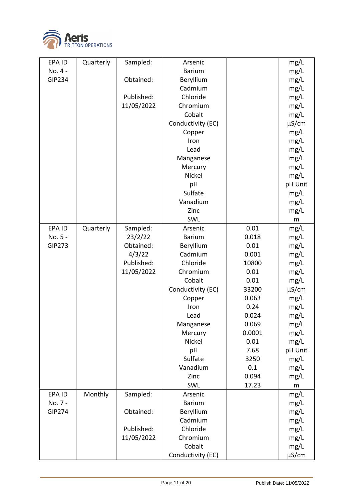

| EPA ID        | Quarterly | Sampled:   | Arsenic           |        | mg/L       |
|---------------|-----------|------------|-------------------|--------|------------|
| No. 4 -       |           |            | <b>Barium</b>     |        | mg/L       |
| <b>GIP234</b> |           | Obtained:  | Beryllium         |        | mg/L       |
|               |           |            | Cadmium           |        | mg/L       |
|               |           | Published: | Chloride          |        | mg/L       |
|               |           | 11/05/2022 | Chromium          |        | mg/L       |
|               |           |            | Cobalt            |        | mg/L       |
|               |           |            | Conductivity (EC) |        | $\mu$ S/cm |
|               |           |            | Copper            |        | mg/L       |
|               |           |            | Iron              |        | mg/L       |
|               |           |            | Lead              |        | mg/L       |
|               |           |            | Manganese         |        | mg/L       |
|               |           |            | Mercury           |        | mg/L       |
|               |           |            | Nickel            |        | mg/L       |
|               |           |            | pH                |        | pH Unit    |
|               |           |            | Sulfate           |        | mg/L       |
|               |           |            | Vanadium          |        | mg/L       |
|               |           |            | Zinc              |        | mg/L       |
|               |           |            | SWL               |        | m          |
| EPA ID        | Quarterly | Sampled:   | Arsenic           | 0.01   | mg/L       |
| No. 5 -       |           | 23/2/22    | <b>Barium</b>     | 0.018  | mg/L       |
| <b>GIP273</b> |           | Obtained:  | Beryllium         | 0.01   | mg/L       |
|               |           | 4/3/22     | Cadmium           | 0.001  | mg/L       |
|               |           | Published: | Chloride          | 10800  | mg/L       |
|               |           | 11/05/2022 | Chromium          | 0.01   | mg/L       |
|               |           |            | Cobalt            | 0.01   | mg/L       |
|               |           |            | Conductivity (EC) | 33200  | $\mu$ S/cm |
|               |           |            | Copper            | 0.063  | mg/L       |
|               |           |            | Iron              | 0.24   | mg/L       |
|               |           |            | Lead              | 0.024  | mg/L       |
|               |           |            | Manganese         | 0.069  | mg/L       |
|               |           |            | Mercury           | 0.0001 | mg/L       |
|               |           |            | Nickel            | 0.01   | mg/L       |
|               |           |            | pH                | 7.68   | pH Unit    |
|               |           |            | Sulfate           | 3250   | mg/L       |
|               |           |            | Vanadium          | 0.1    | mg/L       |
|               |           |            | Zinc              | 0.094  | mg/L       |
|               |           |            | SWL               | 17.23  | m          |
| EPA ID        | Monthly   | Sampled:   | Arsenic           |        | mg/L       |
| No. 7 -       |           |            | <b>Barium</b>     |        | mg/L       |
| <b>GIP274</b> |           | Obtained:  | Beryllium         |        | mg/L       |
|               |           |            | Cadmium           |        | mg/L       |
|               |           | Published: | Chloride          |        | mg/L       |
|               |           | 11/05/2022 | Chromium          |        | mg/L       |
|               |           |            | Cobalt            |        | mg/L       |
|               |           |            | Conductivity (EC) |        | $\mu$ S/cm |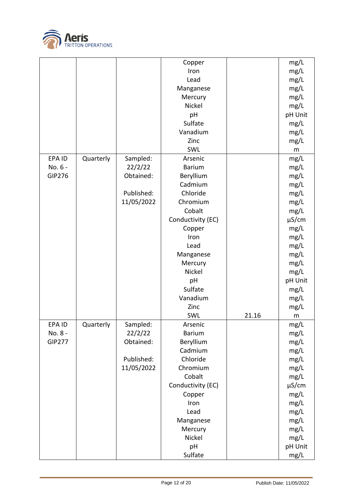

|               |           |            | Copper            |       | mg/L       |
|---------------|-----------|------------|-------------------|-------|------------|
|               |           |            | Iron              |       | mg/L       |
|               |           |            | Lead              |       | mg/L       |
|               |           |            | Manganese         |       | mg/L       |
|               |           |            | Mercury           |       | mg/L       |
|               |           |            | Nickel            |       | mg/L       |
|               |           |            | pH                |       | pH Unit    |
|               |           |            | Sulfate           |       | mg/L       |
|               |           |            | Vanadium          |       | mg/L       |
|               |           |            | Zinc              |       | mg/L       |
|               |           |            | SWL               |       | m          |
| EPA ID        | Quarterly | Sampled:   | Arsenic           |       | mg/L       |
| No. 6 -       |           | 22/2/22    | <b>Barium</b>     |       | mg/L       |
| <b>GIP276</b> |           | Obtained:  | Beryllium         |       | mg/L       |
|               |           |            | Cadmium           |       | mg/L       |
|               |           | Published: | Chloride          |       | mg/L       |
|               |           | 11/05/2022 | Chromium          |       | mg/L       |
|               |           |            | Cobalt            |       | mg/L       |
|               |           |            | Conductivity (EC) |       | $\mu$ S/cm |
|               |           |            | Copper            |       | mg/L       |
|               |           |            | Iron              |       |            |
|               |           |            |                   |       | mg/L       |
|               |           |            | Lead              |       | mg/L       |
|               |           |            | Manganese         |       | mg/L       |
|               |           |            | Mercury           |       | mg/L       |
|               |           |            | Nickel            |       | mg/L       |
|               |           |            | pH                |       | pH Unit    |
|               |           |            | Sulfate           |       | mg/L       |
|               |           |            | Vanadium          |       | mg/L       |
|               |           |            | Zinc              |       | mg/L       |
|               |           |            | SWL               | 21.16 | m          |
| EPA ID        | Quarterly | Sampled:   | Arsenic           |       | mg/L       |
| No. 8 -       |           | 22/2/22    | <b>Barium</b>     |       | mg/L       |
| <b>GIP277</b> |           | Obtained:  | Beryllium         |       | mg/L       |
|               |           |            | Cadmium           |       | mg/L       |
|               |           | Published: | Chloride          |       | mg/L       |
|               |           | 11/05/2022 | Chromium          |       | mg/L       |
|               |           |            | Cobalt            |       | mg/L       |
|               |           |            | Conductivity (EC) |       | $\mu$ S/cm |
|               |           |            | Copper            |       | mg/L       |
|               |           |            | Iron              |       | mg/L       |
|               |           |            | Lead              |       | mg/L       |
|               |           |            | Manganese         |       | mg/L       |
|               |           |            | Mercury           |       | mg/L       |
|               |           |            | Nickel            |       | mg/L       |
|               |           |            | pH                |       | pH Unit    |
|               |           |            | Sulfate           |       |            |
|               |           |            |                   |       | mg/L       |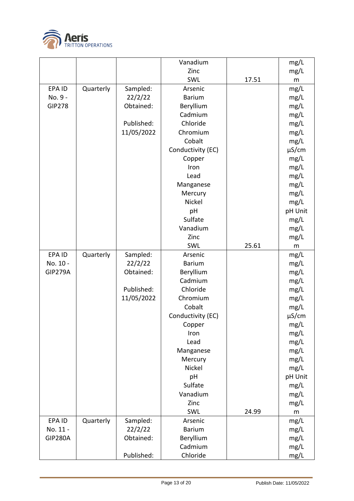

|                |           |            | Vanadium          |       | mg/L       |
|----------------|-----------|------------|-------------------|-------|------------|
|                |           |            | Zinc              |       | mg/L       |
|                |           |            | SWL               | 17.51 | m          |
| EPA ID         | Quarterly | Sampled:   | Arsenic           |       | mg/L       |
| No. 9 -        |           | 22/2/22    | <b>Barium</b>     |       | mg/L       |
| <b>GIP278</b>  |           | Obtained:  | Beryllium         |       | mg/L       |
|                |           |            | Cadmium           |       | mg/L       |
|                |           | Published: | Chloride          |       | mg/L       |
|                |           | 11/05/2022 | Chromium          |       | mg/L       |
|                |           |            | Cobalt            |       | mg/L       |
|                |           |            | Conductivity (EC) |       | $\mu$ S/cm |
|                |           |            | Copper            |       | mg/L       |
|                |           |            | Iron              |       | mg/L       |
|                |           |            | Lead              |       | mg/L       |
|                |           |            | Manganese         |       | mg/L       |
|                |           |            | Mercury           |       | mg/L       |
|                |           |            | Nickel            |       | mg/L       |
|                |           |            | pH                |       | pH Unit    |
|                |           |            | Sulfate           |       | mg/L       |
|                |           |            | Vanadium          |       | mg/L       |
|                |           |            | Zinc              |       | mg/L       |
|                |           |            | SWL               | 25.61 | m          |
| EPA ID         | Quarterly | Sampled:   | Arsenic           |       | mg/L       |
| No. 10 -       |           | 22/2/22    | <b>Barium</b>     |       | mg/L       |
| <b>GIP279A</b> |           | Obtained:  | Beryllium         |       | mg/L       |
|                |           |            | Cadmium           |       | mg/L       |
|                |           | Published: | Chloride          |       | mg/L       |
|                |           | 11/05/2022 | Chromium          |       | mg/L       |
|                |           |            | Cobalt            |       | mg/L       |
|                |           |            | Conductivity (EC) |       | $\mu$ S/cm |
|                |           |            | Copper            |       | mg/L       |
|                |           |            | Iron              |       | mg/L       |
|                |           |            | Lead              |       | mg/L       |
|                |           |            | Manganese         |       | mg/L       |
|                |           |            | Mercury           |       | mg/L       |
|                |           |            | Nickel            |       | mg/L       |
|                |           |            | pH                |       | pH Unit    |
|                |           |            | Sulfate           |       | mg/L       |
|                |           |            | Vanadium          |       | mg/L       |
|                |           |            | Zinc              |       | mg/L       |
|                |           |            | SWL               | 24.99 | m          |
| EPA ID         | Quarterly | Sampled:   | Arsenic           |       | mg/L       |
| No. 11 -       |           | 22/2/22    | <b>Barium</b>     |       | mg/L       |
| <b>GIP280A</b> |           | Obtained:  | Beryllium         |       | mg/L       |
|                |           |            | Cadmium           |       | mg/L       |
|                |           | Published: | Chloride          |       | mg/L       |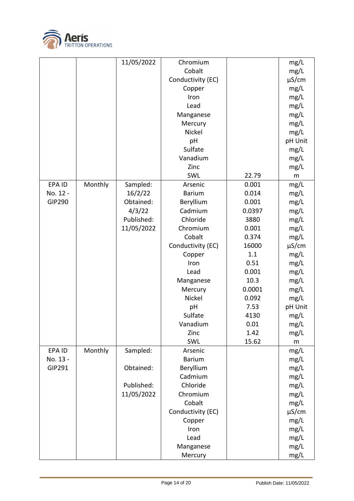

|               |         | 11/05/2022 | Chromium          |        | mg/L       |
|---------------|---------|------------|-------------------|--------|------------|
|               |         |            | Cobalt            |        | mg/L       |
|               |         |            | Conductivity (EC) |        | $\mu$ S/cm |
|               |         |            | Copper            |        | mg/L       |
|               |         |            | Iron              |        | mg/L       |
|               |         |            | Lead              |        | mg/L       |
|               |         |            | Manganese         |        | mg/L       |
|               |         |            | Mercury           |        | mg/L       |
|               |         |            | Nickel            |        | mg/L       |
|               |         |            | pH                |        | pH Unit    |
|               |         |            | Sulfate           |        | mg/L       |
|               |         |            | Vanadium          |        | mg/L       |
|               |         |            | Zinc              |        | mg/L       |
|               |         |            | SWL               | 22.79  | m          |
| EPA ID        | Monthly | Sampled:   | Arsenic           | 0.001  | mg/L       |
| No. 12 -      |         | 16/2/22    | <b>Barium</b>     | 0.014  | mg/L       |
| <b>GIP290</b> |         | Obtained:  | Beryllium         | 0.001  | mg/L       |
|               |         | 4/3/22     | Cadmium           | 0.0397 | mg/L       |
|               |         | Published: | Chloride          | 3880   | mg/L       |
|               |         | 11/05/2022 | Chromium          | 0.001  | mg/L       |
|               |         |            | Cobalt            | 0.374  | mg/L       |
|               |         |            | Conductivity (EC) | 16000  | $\mu$ S/cm |
|               |         |            | Copper            | 1.1    | mg/L       |
|               |         |            | Iron              | 0.51   | mg/L       |
|               |         |            | Lead              | 0.001  | mg/L       |
|               |         |            | Manganese         | 10.3   | mg/L       |
|               |         |            | Mercury           | 0.0001 | mg/L       |
|               |         |            | Nickel            | 0.092  | mg/L       |
|               |         |            | pH                | 7.53   | pH Unit    |
|               |         |            | Sulfate           | 4130   | mg/L       |
|               |         |            | Vanadium          | 0.01   | mg/L       |
|               |         |            | Zinc              | 1.42   | mg/L       |
|               |         |            | SWL               | 15.62  | m          |
| EPA ID        | Monthly | Sampled:   | Arsenic           |        | mg/L       |
| No. 13 -      |         |            | <b>Barium</b>     |        | mg/L       |
| GIP291        |         | Obtained:  | Beryllium         |        | mg/L       |
|               |         |            | Cadmium           |        | mg/L       |
|               |         | Published: | Chloride          |        | mg/L       |
|               |         | 11/05/2022 | Chromium          |        | mg/L       |
|               |         |            | Cobalt            |        | mg/L       |
|               |         |            | Conductivity (EC) |        | $\mu$ S/cm |
|               |         |            | Copper            |        | mg/L       |
|               |         |            | Iron              |        | mg/L       |
|               |         |            | Lead              |        | mg/L       |
|               |         |            | Manganese         |        | mg/L       |
|               |         |            | Mercury           |        | mg/L       |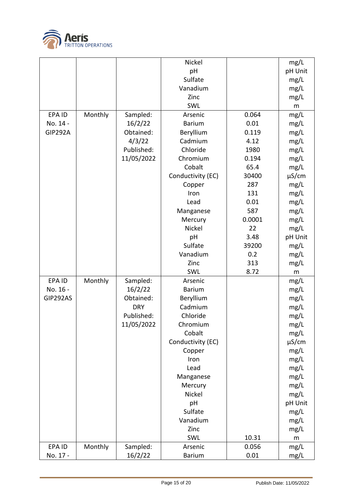

|                |         |            | Nickel            |        | mg/L       |
|----------------|---------|------------|-------------------|--------|------------|
|                |         |            | pH                |        | pH Unit    |
|                |         |            | Sulfate           |        | mg/L       |
|                |         |            | Vanadium          |        | mg/L       |
|                |         |            | Zinc              |        | mg/L       |
|                |         |            | SWL               |        | m          |
| EPA ID         | Monthly | Sampled:   | Arsenic           | 0.064  | mg/L       |
| No. 14 -       |         | 16/2/22    | <b>Barium</b>     | 0.01   | mg/L       |
| <b>GIP292A</b> |         | Obtained:  | Beryllium         | 0.119  | mg/L       |
|                |         | 4/3/22     | Cadmium           | 4.12   | mg/L       |
|                |         | Published: | Chloride          | 1980   | mg/L       |
|                |         | 11/05/2022 | Chromium          | 0.194  | mg/L       |
|                |         |            | Cobalt            | 65.4   | mg/L       |
|                |         |            | Conductivity (EC) | 30400  | $\mu$ S/cm |
|                |         |            | Copper            | 287    | mg/L       |
|                |         |            | Iron              | 131    | mg/L       |
|                |         |            | Lead              | 0.01   | mg/L       |
|                |         |            | Manganese         | 587    | mg/L       |
|                |         |            | Mercury           | 0.0001 | mg/L       |
|                |         |            | Nickel            | 22     | mg/L       |
|                |         |            | pH                | 3.48   | pH Unit    |
|                |         |            | Sulfate           | 39200  | mg/L       |
|                |         |            | Vanadium          | 0.2    | mg/L       |
|                |         |            | Zinc              | 313    | mg/L       |
|                |         |            | SWL               | 8.72   | m          |
| <b>EPAID</b>   | Monthly | Sampled:   | Arsenic           |        | mg/L       |
| No. 16 -       |         | 16/2/22    | <b>Barium</b>     |        | mg/L       |
| GIP292AS       |         | Obtained:  | Beryllium         |        | mg/L       |
|                |         | <b>DRY</b> | Cadmium           |        | mg/L       |
|                |         | Published: | Chloride          |        | mg/L       |
|                |         | 11/05/2022 | Chromium          |        | mg/L       |
|                |         |            | Cobalt            |        | mg/L       |
|                |         |            | Conductivity (EC) |        | $\mu$ S/cm |
|                |         |            | Copper            |        | mg/L       |
|                |         |            | Iron              |        | mg/L       |
|                |         |            | Lead              |        | mg/L       |
|                |         |            | Manganese         |        | mg/L       |
|                |         |            | Mercury           |        | mg/L       |
|                |         |            | Nickel            |        | mg/L       |
|                |         |            | pH                |        | pH Unit    |
|                |         |            | Sulfate           |        | mg/L       |
|                |         |            | Vanadium          |        | mg/L       |
|                |         |            | Zinc              |        | mg/L       |
|                |         |            | SWL               | 10.31  | m          |
| EPA ID         | Monthly | Sampled:   | Arsenic           | 0.056  | mg/L       |
| No. 17 -       |         | 16/2/22    | Barium            | 0.01   | mg/L       |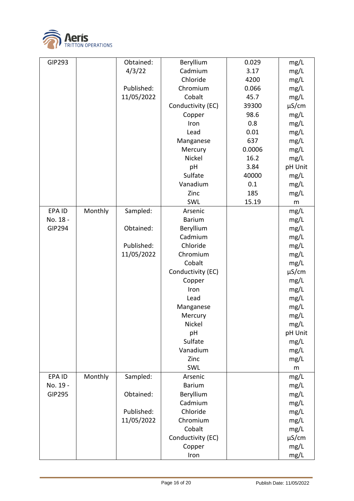

| <b>GIP293</b> |         | Obtained:  | Beryllium         | 0.029  | mg/L       |
|---------------|---------|------------|-------------------|--------|------------|
|               |         | 4/3/22     | Cadmium           | 3.17   | mg/L       |
|               |         |            | Chloride          | 4200   | mg/L       |
|               |         | Published: | Chromium          | 0.066  | mg/L       |
|               |         | 11/05/2022 | Cobalt            | 45.7   | mg/L       |
|               |         |            | Conductivity (EC) | 39300  | $\mu$ S/cm |
|               |         |            | Copper            | 98.6   | mg/L       |
|               |         |            | Iron              | 0.8    | mg/L       |
|               |         |            | Lead              | 0.01   | mg/L       |
|               |         |            | Manganese         | 637    | mg/L       |
|               |         |            | Mercury           | 0.0006 | mg/L       |
|               |         |            | Nickel            | 16.2   | mg/L       |
|               |         |            | pH                | 3.84   | pH Unit    |
|               |         |            | Sulfate           | 40000  | mg/L       |
|               |         |            | Vanadium          | 0.1    | mg/L       |
|               |         |            | Zinc              | 185    | mg/L       |
|               |         |            | SWL               | 15.19  | ${\sf m}$  |
| EPA ID        | Monthly | Sampled:   | Arsenic           |        | mg/L       |
| No. 18 -      |         |            | <b>Barium</b>     |        | mg/L       |
| <b>GIP294</b> |         | Obtained:  | Beryllium         |        | mg/L       |
|               |         |            | Cadmium           |        | mg/L       |
|               |         | Published: | Chloride          |        | mg/L       |
|               |         | 11/05/2022 | Chromium          |        | mg/L       |
|               |         |            | Cobalt            |        | mg/L       |
|               |         |            | Conductivity (EC) |        | $\mu$ S/cm |
|               |         |            | Copper            |        | mg/L       |
|               |         |            | Iron              |        | mg/L       |
|               |         |            | Lead              |        | mg/L       |
|               |         |            | Manganese         |        | mg/L       |
|               |         |            | Mercury           |        | mg/L       |
|               |         |            | Nickel            |        | mg/L       |
|               |         |            | pH                |        | pH Unit    |
|               |         |            | Sulfate           |        | mg/L       |
|               |         |            | Vanadium          |        | mg/L       |
|               |         |            | Zinc              |        | mg/L       |
|               |         |            | SWL               |        | ${\sf m}$  |
| EPA ID        | Monthly | Sampled:   | Arsenic           |        | mg/L       |
| No. 19 -      |         |            | <b>Barium</b>     |        | mg/L       |
| <b>GIP295</b> |         | Obtained:  | Beryllium         |        | mg/L       |
|               |         |            | Cadmium           |        | mg/L       |
|               |         | Published: | Chloride          |        | mg/L       |
|               |         | 11/05/2022 | Chromium          |        | mg/L       |
|               |         |            | Cobalt            |        | mg/L       |
|               |         |            | Conductivity (EC) |        | $\mu$ S/cm |
|               |         |            | Copper            |        | mg/L       |
|               |         |            | Iron              |        | mg/L       |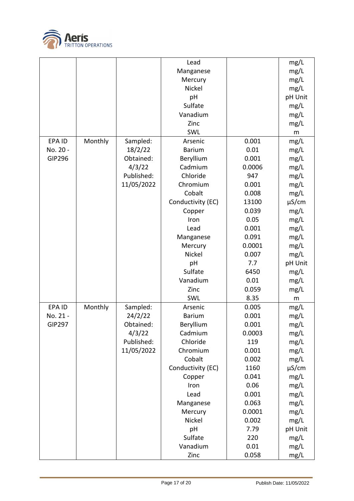

|               |         |            | Lead              |        | mg/L       |
|---------------|---------|------------|-------------------|--------|------------|
|               |         |            | Manganese         |        | mg/L       |
|               |         |            | Mercury           |        | mg/L       |
|               |         |            | Nickel            |        | mg/L       |
|               |         |            | pH                |        | pH Unit    |
|               |         |            | Sulfate           |        | mg/L       |
|               |         |            | Vanadium          |        | mg/L       |
|               |         |            | Zinc              |        | mg/L       |
|               |         |            | SWL               |        | m          |
| EPA ID        | Monthly | Sampled:   | Arsenic           | 0.001  | mg/L       |
| No. 20 -      |         | 18/2/22    | <b>Barium</b>     | 0.01   | mg/L       |
| GIP296        |         | Obtained:  | Beryllium         | 0.001  | mg/L       |
|               |         | 4/3/22     | Cadmium           | 0.0006 | mg/L       |
|               |         | Published: | Chloride          | 947    | mg/L       |
|               |         | 11/05/2022 | Chromium          | 0.001  | mg/L       |
|               |         |            | Cobalt            | 0.008  |            |
|               |         |            | Conductivity (EC) | 13100  | mg/L       |
|               |         |            |                   | 0.039  | $\mu$ S/cm |
|               |         |            | Copper            |        | mg/L       |
|               |         |            | Iron              | 0.05   | mg/L       |
|               |         |            | Lead              | 0.001  | mg/L       |
|               |         |            | Manganese         | 0.091  | mg/L       |
|               |         |            | Mercury           | 0.0001 | mg/L       |
|               |         |            | Nickel            | 0.007  | mg/L       |
|               |         |            | pH                | 7.7    | pH Unit    |
|               |         |            | Sulfate           | 6450   | mg/L       |
|               |         |            | Vanadium          | 0.01   | mg/L       |
|               |         |            | Zinc              | 0.059  | mg/L       |
|               |         |            | SWL               | 8.35   | m          |
| EPA ID        | Monthly | Sampled:   | Arsenic           | 0.005  | mg/L       |
| No. 21 -      |         | 24/2/22    | <b>Barium</b>     | 0.001  | mg/L       |
| <b>GIP297</b> |         | Obtained:  | Beryllium         | 0.001  | mg/L       |
|               |         | 4/3/22     | Cadmium           | 0.0003 | mg/L       |
|               |         | Published: | Chloride          | 119    | mg/L       |
|               |         | 11/05/2022 | Chromium          | 0.001  | mg/L       |
|               |         |            | Cobalt            | 0.002  | mg/L       |
|               |         |            | Conductivity (EC) | 1160   | $\mu$ S/cm |
|               |         |            | Copper            | 0.041  | mg/L       |
|               |         |            | Iron              | 0.06   | mg/L       |
|               |         |            | Lead              | 0.001  | mg/L       |
|               |         |            | Manganese         | 0.063  | mg/L       |
|               |         |            | Mercury           | 0.0001 | mg/L       |
|               |         |            | Nickel            | 0.002  | mg/L       |
|               |         |            | pH                | 7.79   | pH Unit    |
|               |         |            | Sulfate           | 220    | mg/L       |
|               |         |            | Vanadium          | 0.01   | mg/L       |
|               |         |            | Zinc              | 0.058  | mg/L       |
|               |         |            |                   |        |            |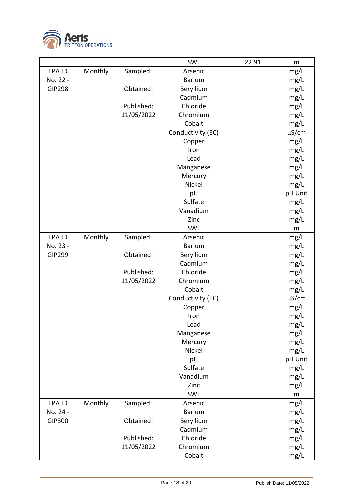

|               |         |            | SWL               | 22.91 | m          |
|---------------|---------|------------|-------------------|-------|------------|
| EPA ID        | Monthly | Sampled:   | Arsenic           |       | mg/L       |
| No. 22 -      |         |            | <b>Barium</b>     |       | mg/L       |
| <b>GIP298</b> |         | Obtained:  | Beryllium         |       | mg/L       |
|               |         |            | Cadmium           |       | mg/L       |
|               |         | Published: | Chloride          |       | mg/L       |
|               |         | 11/05/2022 | Chromium          |       | mg/L       |
|               |         |            | Cobalt            |       | mg/L       |
|               |         |            | Conductivity (EC) |       | µS/cm      |
|               |         |            | Copper            |       | mg/L       |
|               |         |            | Iron              |       | mg/L       |
|               |         |            | Lead              |       | mg/L       |
|               |         |            | Manganese         |       | mg/L       |
|               |         |            | Mercury           |       | mg/L       |
|               |         |            | Nickel            |       | mg/L       |
|               |         |            | pH                |       | pH Unit    |
|               |         |            | Sulfate           |       | mg/L       |
|               |         |            | Vanadium          |       | mg/L       |
|               |         |            | Zinc              |       | mg/L       |
|               |         |            | SWL               |       | m          |
| EPA ID        | Monthly | Sampled:   | Arsenic           |       | mg/L       |
| No. 23 -      |         |            | <b>Barium</b>     |       | mg/L       |
| <b>GIP299</b> |         | Obtained:  | Beryllium         |       | mg/L       |
|               |         |            | Cadmium           |       | mg/L       |
|               |         | Published: | Chloride          |       | mg/L       |
|               |         | 11/05/2022 | Chromium          |       | mg/L       |
|               |         |            | Cobalt            |       | mg/L       |
|               |         |            | Conductivity (EC) |       | $\mu$ S/cm |
|               |         |            | Copper            |       | mg/L       |
|               |         |            | Iron              |       | mg/L       |
|               |         |            | Lead              |       | mg/L       |
|               |         |            | Manganese         |       | mg/L       |
|               |         |            | Mercury           |       | mg/L       |
|               |         |            | Nickel            |       | mg/L       |
|               |         |            | pH                |       | pH Unit    |
|               |         |            | Sulfate           |       | mg/L       |
|               |         |            | Vanadium          |       | mg/L       |
|               |         |            | Zinc              |       | mg/L       |
|               |         |            | SWL               |       | m          |
| EPA ID        | Monthly | Sampled:   | Arsenic           |       | mg/L       |
| No. 24 -      |         |            | <b>Barium</b>     |       | mg/L       |
| GIP300        |         | Obtained:  | Beryllium         |       | mg/L       |
|               |         |            | Cadmium           |       | mg/L       |
|               |         | Published: | Chloride          |       | mg/L       |
|               |         | 11/05/2022 | Chromium          |       | mg/L       |
|               |         |            | Cobalt            |       | mg/L       |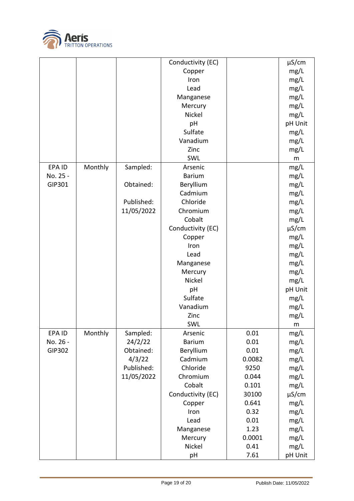

|          |         |            | Conductivity (EC) |        | $\mu$ S/cm |
|----------|---------|------------|-------------------|--------|------------|
|          |         |            | Copper            |        | mg/L       |
|          |         |            | Iron              |        | mg/L       |
|          |         |            | Lead              |        | mg/L       |
|          |         |            | Manganese         |        | mg/L       |
|          |         |            | Mercury           |        | mg/L       |
|          |         |            | Nickel            |        | mg/L       |
|          |         |            | pH                |        | pH Unit    |
|          |         |            | Sulfate           |        | mg/L       |
|          |         |            | Vanadium          |        | mg/L       |
|          |         |            | Zinc              |        | mg/L       |
|          |         |            | SWL               |        | m          |
| EPA ID   | Monthly | Sampled:   | Arsenic           |        | mg/L       |
| No. 25 - |         |            | <b>Barium</b>     |        | mg/L       |
| GIP301   |         | Obtained:  | Beryllium         |        | mg/L       |
|          |         |            | Cadmium           |        | mg/L       |
|          |         | Published: | Chloride          |        | mg/L       |
|          |         | 11/05/2022 | Chromium          |        | mg/L       |
|          |         |            | Cobalt            |        | mg/L       |
|          |         |            | Conductivity (EC) |        | $\mu$ S/cm |
|          |         |            | Copper            |        | mg/L       |
|          |         |            | Iron              |        | mg/L       |
|          |         |            | Lead              |        | mg/L       |
|          |         |            | Manganese         |        | mg/L       |
|          |         |            | Mercury           |        | mg/L       |
|          |         |            | Nickel            |        | mg/L       |
|          |         |            | pH                |        | pH Unit    |
|          |         |            | Sulfate           |        | mg/L       |
|          |         |            | Vanadium          |        | mg/L       |
|          |         |            | Zinc              |        | mg/L       |
|          |         |            | SWL               |        | ${\sf m}$  |
| EPA ID   | Monthly | Sampled:   | Arsenic           | 0.01   | mg/L       |
| No. 26 - |         | 24/2/22    | <b>Barium</b>     | 0.01   | mg/L       |
| GIP302   |         | Obtained:  | Beryllium         | 0.01   | mg/L       |
|          |         | 4/3/22     | Cadmium           | 0.0082 | mg/L       |
|          |         | Published: | Chloride          | 9250   | mg/L       |
|          |         | 11/05/2022 | Chromium          | 0.044  | mg/L       |
|          |         |            | Cobalt            | 0.101  | mg/L       |
|          |         |            | Conductivity (EC) | 30100  | $\mu$ S/cm |
|          |         |            | Copper            | 0.641  | mg/L       |
|          |         |            | Iron              | 0.32   | mg/L       |
|          |         |            | Lead              | 0.01   | mg/L       |
|          |         |            | Manganese         | 1.23   | mg/L       |
|          |         |            | Mercury           | 0.0001 | mg/L       |
|          |         |            | Nickel            | 0.41   | mg/L       |
|          |         |            | pH                | 7.61   | pH Unit    |